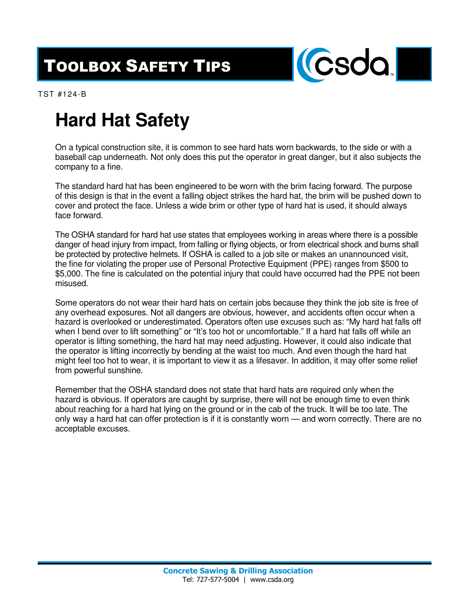## TOOLBOX SAFETY TIPS



TST #124-B

## **Hard Hat Safety**

On a typical construction site, it is common to see hard hats worn backwards, to the side or with a baseball cap underneath. Not only does this put the operator in great danger, but it also subjects the company to a fine.

The standard hard hat has been engineered to be worn with the brim facing forward. The purpose of this design is that in the event a falling object strikes the hard hat, the brim will be pushed down to cover and protect the face. Unless a wide brim or other type of hard hat is used, it should always face forward.

The OSHA standard for hard hat use states that employees working in areas where there is a possible danger of head injury from impact, from falling or flying objects, or from electrical shock and burns shall be protected by protective helmets. If OSHA is called to a job site or makes an unannounced visit, the fine for violating the proper use of Personal Protective Equipment (PPE) ranges from \$500 to \$5,000. The fine is calculated on the potential injury that could have occurred had the PPE not been misused.

Some operators do not wear their hard hats on certain jobs because they think the job site is free of any overhead exposures. Not all dangers are obvious, however, and accidents often occur when a hazard is overlooked or underestimated. Operators often use excuses such as: "My hard hat falls off when I bend over to lift something" or "It's too hot or uncomfortable." If a hard hat falls off while an operator is lifting something, the hard hat may need adjusting. However, it could also indicate that the operator is lifting incorrectly by bending at the waist too much. And even though the hard hat might feel too hot to wear, it is important to view it as a lifesaver. In addition, it may offer some relief from powerful sunshine.

Remember that the OSHA standard does not state that hard hats are required only when the hazard is obvious. If operators are caught by surprise, there will not be enough time to even think about reaching for a hard hat lying on the ground or in the cab of the truck. It will be too late. The only way a hard hat can offer protection is if it is constantly worn — and worn correctly. There are no acceptable excuses.